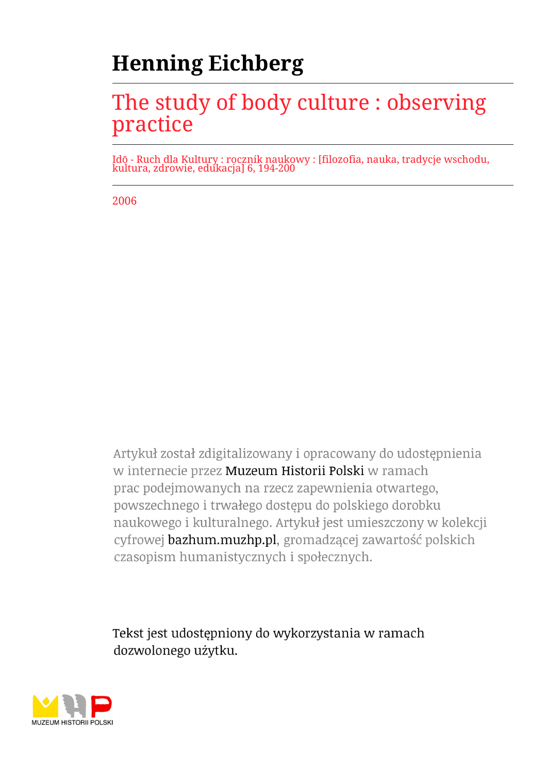# **Henning Eichberg**

## The study of body culture : observing practice

Idō - Ruch dla Kultury : rocznik naukowy : [filozofia, nauka, tradycje wschodu, kultura, zdrowie, edukacja] 6, 194-200

2006

Artykuł został zdigitalizowany i opracowany do udostępnienia w internecie przez Muzeum Historii Polski w ramach prac podejmowanych na rzecz zapewnienia otwartego, powszechnego i trwałego dostępu do polskiego dorobku naukowego i kulturalnego. Artykuł jest umieszczony w kolekcji cyfrowej bazhum.muzhp.pl, gromadzącej zawartość polskich czasopism humanistycznych i społecznych.

Tekst jest udostępniony do wykorzystania w ramach dozwolonego użytku.

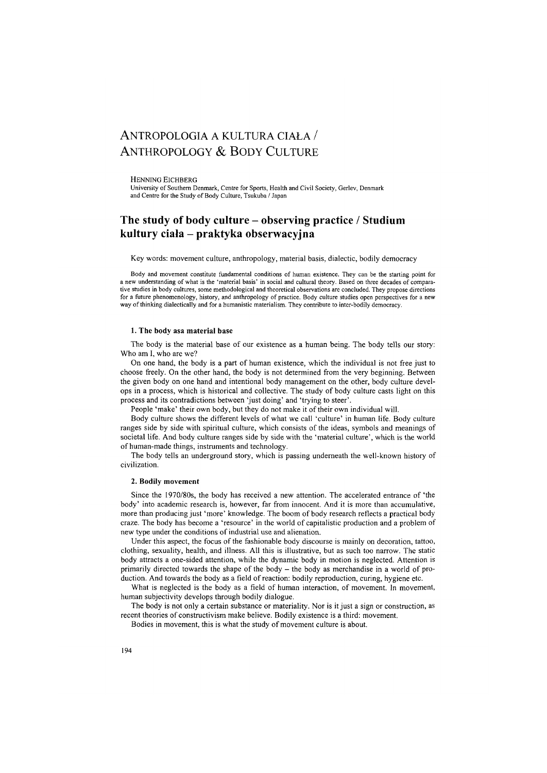## ANTROPOLOGIA A KULTURA CIAŁA  $/$ ANTHROPOLOGY & BODY CULTURE

HENNING EICHBERG

University of Southern Denmark, Centre for Sports, Health and Civil Society, Gerlev, Denmark and Centre for the Study of Body Culture, Tsukuba / Japan

### **The study of body culture - observing practice / Studium kultury ciała - praktyka obserwacyjna**

Key words: movement culture, anthropology, material basis, dialectic, bodily democracy

Body and movement constitute fundamental conditions of human existence. They can be the starting point for a new understanding of what is the 'material basis' in social and cultural theory. Based on three decades of comparative studies in body cultures, some methodological and theoretical observations are concluded. They propose directions for a future phenomenology, history, and anthropology of practice. Body culture studies open perspectives for a new way of thinking dialectically and for a humanistic materialism. They contribute to inter-bodily democracy.

#### 1. The body asa material base

The body is the material base of our existence as a human being. The body tells our story: Who am I, who are we?

On one hand, the body is a part of human existence, which the individual is not free just to choose freely. On the other hand, the body is not determined from the very beginning. Between the given body on one hand and intentional body management on the other, body culture develops in a process, which is historical and collective. The study of body culture casts light on this process and its contradictions between 'just doing' and 'trying to steer'.

People 'make' their own body, but they do not make it of their own individual will.

Body culture shows the different levels of what we call 'culture' in human life. Body culture ranges side by side with spiritual culture, which consists of the ideas, symbols and meanings of societal life. And body culture ranges side by side with the 'material culture', which is the world of human-made things, instruments and technology.

The body tells an underground story, which is passing underneath the well-known history of civilization.

#### 2. Bodily movement

Since the 1970/80s, the body has received a new attention. The accelerated entrance of 'the body' into academic research is, however, far from innocent. And it is more than accumulative, more than producing just 'more' knowledge. The boom of body research reflects a practical body craze. The body has become a 'resource' in the world of capitalistic production and a problem of new type under the conditions of industrial use and alienation.

Under this aspect, the focus of the fashionable body discourse is mainly on decoration, tattoo, clothing, sexuality, health, and illness. All this is illustrative, but as such too narrow. The static body attracts a one-sided attention, while the dynamic body in motion is neglected. Attention is primarily directed towards the shape of the body  $-$  the body as merchandise in a world of production. And towards the body as a field of reaction: bodily reproduction, curing, hygiene etc.

What is neglected is the body as a field of human interaction, of movement. In movement, human subjectivity develops through bodily dialogue.

The body is not only a certain substance or materiality. Nor is it just a sign or construction, as recent theories of constructivism make believe. Bodily existence is a third: movement.

Bodies in movement, this is what the study of movement culture is about.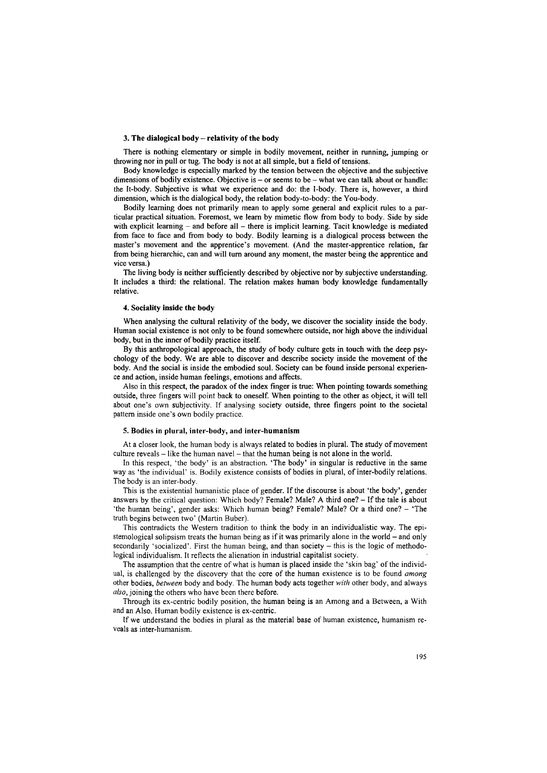#### **3. The dialogical body - relativity of the body**

There is nothing elementary or simple in bodily movement, neither in running, jumping or throwing nor in pull or tug. The body is not at all simple, but a field of tensions.

Body knowledge is especially marked by the tension between the objective and the subjective dimensions of bodily existence. Objective is  $-$  or seems to be  $-$  what we can talk about or handle: the It-body. Subjective is what we experience and do: the I-body. There is, however, a third dimension, which is the dialogical body, the relation body-to-body: the You-body.

Bodily learning does not primarily mean to apply some general and explicit rules to a particular practical situation. Foremost, we leam by mimetic flow from body to body. Side by side with explicit learning  $-$  and before all  $-$  there is implicit learning. Tacit knowledge is mediated from face to face and from body to body. Bodily learning is a dialogical process between the master's movement and the apprentice's movement. (And the master-apprentice relation, far from being hierarchic, can and will turn around any moment, the master being the apprentice and vice versa.)

The living body is neither sufficiently described by objective nor by subjective understanding. It includes a third: the relational. The relation makes human body knowledge fundamentally relative.

#### **4. Sociality inside the body**

When analysing the cultural relativity of the body, we discover the sociality inside the body. Human social existence is not only to be found somewhere outside, nor high above the individual body, but in the inner of bodily practice itself.

By this anthropological approach, the study of body culture gets in touch with the deep psychology of the body. We are able to discover and describe society inside the movement of the body. And the social is inside the embodied soul. Society can be found inside personal experience and action, inside human feelings, emotions and affects.

Also in this respect, the paradox of the index finger is true: When pointing towards something outside, three fingers will point back to oneself. When pointing to the other as object, it will tell about one's own subjectivity. If analysing society outside, three fingers point to the societal pattem inside one's own bodily practice.

#### 5. Bodies in plural, inter-body, and inter-humanism

At a closer look, the human body is always related to bodies in plural. The study of movement  $culture reveals – like the human naval – that the human being is not alone in the world.$ 

In this respect, 'the body' is an abstraction. 'The body' in singular is reductive in the same way as 'the individual' is. Bodily existence consists of bodies in plural, of inter-bodily relations. The body is an inter-body.

This is the existential humanistic place of gender. If the discourse is about 'the body', gender answers by the critical question: Which body? Female? Male? A third one? - If the tale is about 'the human being', gender asks: Which human being? Female? Male? Or a third one? - 'The truth begins between two' (Martin Buber).

This contradicts the Western tradition to think the body in an individualistic way. The epistemological solipsism treats the human being as if it was primarily alone in the world - and only secondarily 'socialized'. First the human being, and than society - this is the logic of methodological individualism. It reflects the alienation in industrial capitalist society.

The assumption that the centre of what is human is placed inside the 'skin bag' of the individual, is challenged by the discovery that the core of the human existence is to be found *among* other bodies, *between* body and body. The human body acts together *with* other body, and always *also,* joining the others who have been there before.

Through its ex-centric bodily position, the human being is an Among and a Between, a With and an Also. Human bodily existence is ex-centric.

If we understand the bodies in plural as the material base of human existence, humanism reveals as inter-humanism.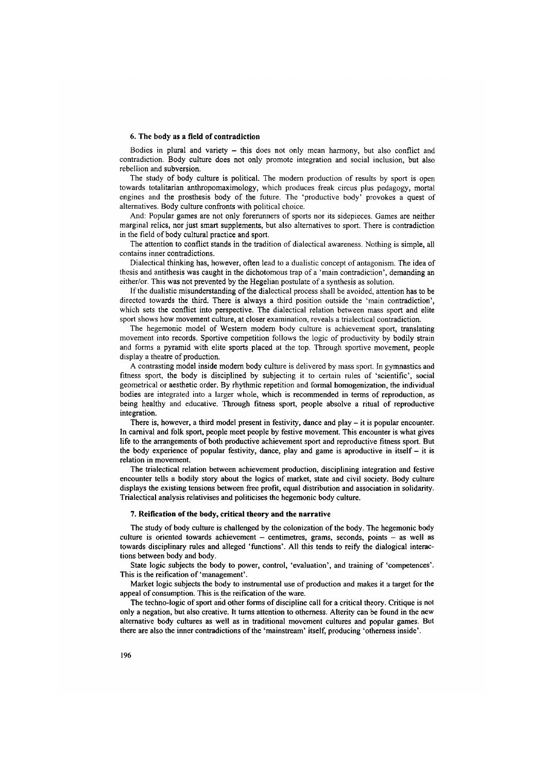#### **6.** The **body as a field of contradiction**

Bodies in plural and variety  $-$  this does not only mean harmony, but also conflict and contradiction. Body culture does not only promote integration and social inclusion, but also rebellion and subversion.

The study of body culture is political. The modem production of results by sport is open towards totalitarian anthropomaximology, which produces freak circus plus pedagogy, mortal engines and the prosthesis body of the future. The 'productive body' provokes a quest of alternatives. Body culture confronts with political choice.

And: Popular games are not only forerunners of sports nor its sidepieces. Games are neither marginal relics, nor just smart supplements, but also alternatives to sport. There is contradiction in the field of body cultural practice and sport.

The attention to conflict stands in the tradition of dialectical awareness. Nothing is simple, all contains inner contradictions.

Dialectical thinking has, however, often lead to a dualistic concept of antagonism. The idea of thesis and antithesis was caught in the dichotomous trap of a 'main contradiction', demanding an either/or. This was not prevented by the Hegelian postulate of a synthesis as solution.

If the dualistic misunderstanding of the dialectical process shall be avoided, attention has to be directed towards the third. There is always a third position outside the 'main contradiction', which sets the conflict into perspective. The dialectical relation between mass sport and elite sport shows how movement culture, at closer examination, reveals a trialectical contradiction.

The hegemonic model of Western modem body culture is achievement sport, translating movement into records. Sportive competition follows the logic of productivity by bodily strain and forms a pyramid with elite sports placed at the top. Through sportive movement, people display a theatre of production.

A contrasting model inside modem body culture is delivered by mass sport. In gymnastics and fitness sport, the body is disciplined by subjecting it to certain mles of 'scientific', social geometrical or aesthetic order. By rhythmic repetition and formal homogenization, the individual bodies are integrated into a larger whole, which is recommended in terms of reproduction, as being healthy and educative. Through fitness sport, people absolve a ritual of reproductive integration.

There is, however, a third model present in festivity, dance and play - it is popular encounter. In carnival and folk sport, people meet people by festive movement. This encounter is what gives life to the arrangements of both productive achievement sport and reproductive fitness sport. But the body experience of popular festivity, dance, play and game is aproductive in itself  $-$  it is relation in movement.

The trialectical relation between achievement production, disciplining integration and festive encounter tells a bodily story about the logics of market, state and civil society. Body culture displays the existing tensions between free profit, equal distribution and association in solidarity. Trialectical analysis relativises and politicises the hegemonic body culture.

#### **7. Reification of the body, critical theory and the narrative**

The study of body culture is challenged by the colonization of the body. The hegemonic body culture is oriented towards achievement  $-$  centimetres, grams, seconds, points  $-$  as well as towards disciplinary mles and alleged 'functions'. All this tends to reify the dialogical interactions between body and body.

State logic subjects the body to power, control, 'evaluation', and training of 'competences'. This is the reification of 'management'.

Market logic subjects the body to instrumental use of production and makes it a target for the appeal of consumption. This is the reification of the ware.

The techno-logic of sport and other forms of discipline call for a critical theory. Critique is not only a negation, but also creative. It turns attention to othemess. Alterity can be found in the new alternative body cultures as well as in traditional movement cultures and popular games. But there are also the inner contradictions of the 'mainstream' itself, producing 'otherness inside'.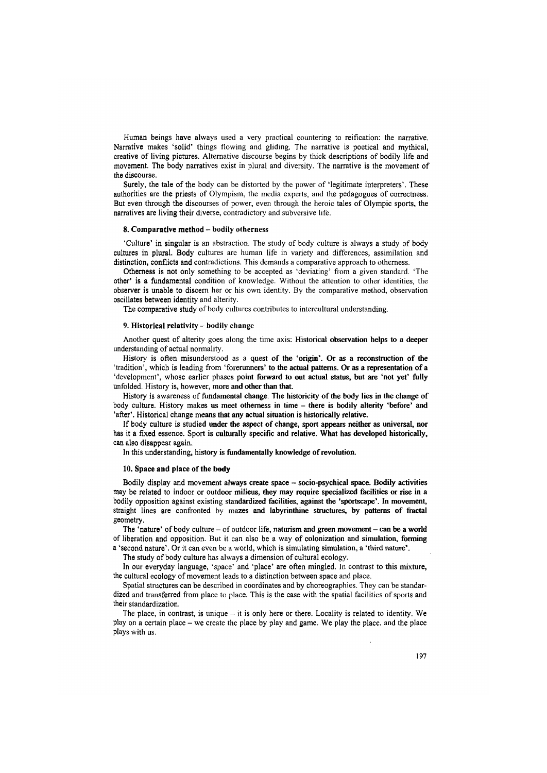Human beings have always used a very practical countering to reification: the narrative. Narrative makes 'solid' things flowing and gliding. The narrative is poetical and mythical, creative of living pictures. Alternative discourse begins by thick descriptions of bodily life and movement. The body narratives exist in plural and diversity. The narrative is the movement of the discourse.

Surely, the tale of the body can be distorted by the power of 'legitimate interpreters'. These authorities are the priests of Olympism, the media experts, and the pedagogues of correctness. But even through the discourses of power, even through the heroic tales of Olympic sports, the narratives are living their diverse, contradictory and subversive life.

#### **8. Comparative method - bodily otherness**

'Culture' in singular is an abstraction. The study of body culture is always a study of body cultures in plural. Body cultures are human life in variety and differences, assimilation and distinction, conflicts and contradictions. This demands a comparative approach to otherness.

Otherness is not only something to be accepted as 'deviating' from a given standard. 'The other' is a fundamental condition of knowledge. Without the attention to other identities, the observer is unable to discern her or his own identity. By the comparative method, observation oscillates between identity and alterity.

The comparative study of body cultures contributes to intercultural understanding.

#### 9. Historical relativity  $-$  bodily change

Another quest of alterity goes along the time axis: Historical observation helps to a deeper understanding of actual normality.

History is often misunderstood as a quest of the 'origin'. Or as a reconstruction of the 'tradition', which is leading from 'forerunners' to the actual patterns. Or as a representation of a 'development', whose earlier phases point forward to out actual status, but are 'not yet' fully unfolded. History is, however, more and other than that.

History is awareness of fundamental change. The historicity of the body lies in the change of body culture. History makes us meet otherness in time – there is bodily alterity 'before' and 'after'. Historical change means that any actual situation is historically relative.

If body culture is studied under the aspect of change, sport appears neither as universal, nor has it a fixed essence. Sport is culturally specific and relative. What has developed historically, can also disappear again.

In this understanding, history is fundamentally knowledge of revolution.

#### **10. Space and place of the body**

Bodily display and movement always create space - socio-psychical space. Bodily activities may be related to indoor or outdoor milieus, they may require specialized facilities or rise in a bodily opposition against existing standardized facilities, against the 'sportscape'. In movement, straight lines are confronted by mazes and labyrinthine structures, by patterns of fractal geometry.

The 'nature' of body culture  $-$  of outdoor life, naturism and green movement  $-$  can be a world of liberation and opposition. But it can also be a way of colonization and simulation, forming

a 'second nature'. Or it can even be a world, which is simulating simulation, a 'third nature'.

The study of body culture has always a dimension of cultural ecology.

In our everyday language, 'space' and 'place' are often mingled. In contrast to this mixture, the cultural ecology of movement leads to a distinction between space and place.

Spatial structures can be described in coordinates and by choreographies. They can be standardized and transferred from place to place. This is the case with the spatial facilities of sports and their standardization.

The place, in contrast, is unique  $-$  it is only here or there. Locality is related to identity. We play on a certain place - we create the place by play and game. We play the place, and the place plays with us.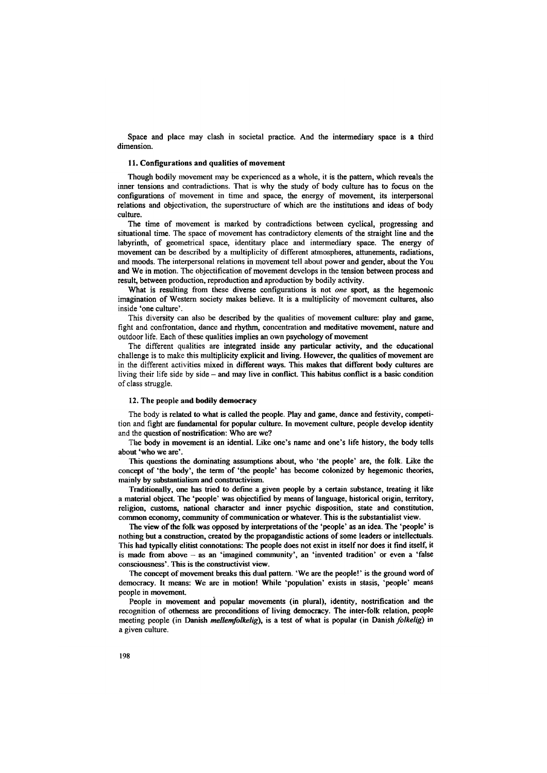Space and place may clash in societal practice. And the intermediary space is a third dimension.

#### 11. Configurations and qualities of movement

Though bodily movement may be experienced as a whole, it is the pattem, which reveals the inner tensions and contradictions. That is why the study of body culture has to focus on the configurations of movement in time and space, the energy of movement, its interpersonal relations and objectivation, the superstructure of which are the institutions and ideas of body culture.

The time of movement is marked by contradictions between cyclical, progressing and situational time. The space of movement has contradictory elements of the straight line and the labyrinth, of geometrical space, identitary place and intermediary space. The energy of movement can be described by a multiplicity of different atmospheres, attunements, radiations, and moods. The interpersonal relations in movement tell about power and gender, about the You and We in motion. The objectification of movement develops in the tension between process and result, between production, reproduction and aproduction by bodily activity.

What is resulting ffom these diverse configurations is not *one* sport, as the hegemonic imagination of Western society makes believe. It is a multiplicity of movement cultures, also inside 'one culture'.

This diversity can also be described by the qualities of movement culture: play and game, fight and confrontation, dance and rhythm, concentration and meditative movement, nature and outdoor life. Each of these qualities implies an own psychology of movement

The different qualities are integrated inside any particular activity, and the educational challenge is to make this multiplicity explicit and living. However, the qualities of movement are in the different activities mixed in different ways. This makes that different body cultures are living their life side by side – and may live in conflict. This habitus conflict is a basic condition of class struggle.

#### 12. The people and bodily democracy

The body is related to what is called the people. Play and game, dance and festivity, competition and fight are fundamental for popular culture. In movement culture, people develop identity and the question of nostrification: Who are we?

The body in movement is an idential. Like one's name and one's life history, the body tells about 'who we are'.

This questions the dominating assumptions about, who 'the people' are, the folk. Like the concept of 'the body', the term of 'the people' has become colonized by hegemonic theories, mainly by substantialism and constructivism.

Traditionally, one has tried to define a given people by a certain substance, treating it like a material object. The 'people' was objectified by means of language, historical origin, territory, religion, customs, national character and inner psychic disposition, state and constitution, common economy, community of communication or whatever. This is the substantialist view.

The view of the folk was opposed by interpretations of the 'people' as an idea. The 'people' is nothing but a construction, created by the propagandistic actions of some leaders or intellectuals. This had typically elitist connotations: The people does not exist in itself nor does it find itself, it is made from above  $-$  as an 'imagined community', an 'invented tradition' or even a 'false consciousness\*. This is the constructivist view.

The concept of movement breaks this dual pattern. 'We are the people!' is the ground word of democracy. It means: We are in motion! While 'population' exists in stasis, 'people' means people in movement.

People in movement and popular movements (in plural), identity, nostrification and the recognition of otherness are preconditions of living democracy. The inter-folk relation, people meeting people (in Danish *mellemfolkelig*), is a test of what is popular (in Danish *folkelig*) in a given culture.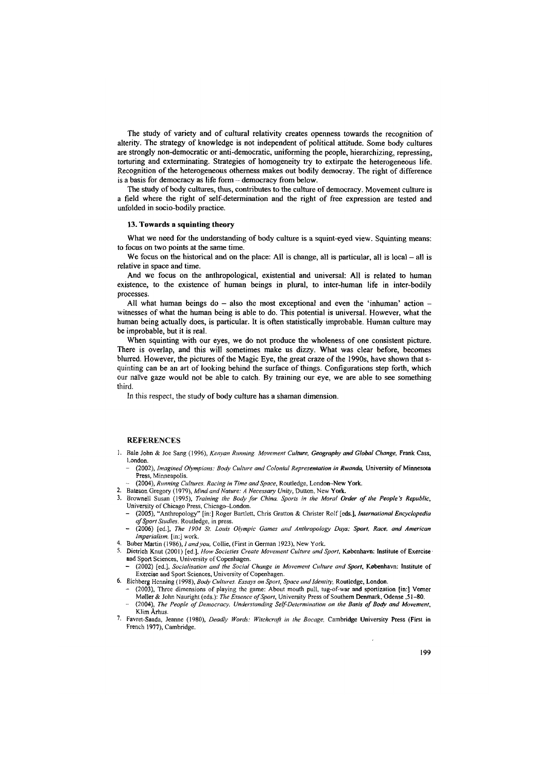The study of variety and of cultural relativity creates openness towards the recognition of alterity. The strategy of knowledge is not independent of political attitude. Some body cultures are strongly non-democratic or anti-democratic, uniforming the people, hierarchizing, repressing, torturing and exterminating. Strategies of homogeneity try to extirpate the heterogeneous life. Recognition of the heterogeneous otherness makes out bodily democray. The right of difference is a basis for democracy as life form - democracy from below.

The study of body cultures, thus, contributes to the culture of democracy. Movement culture is a field where the right of self-determination and the right of free expression are tested and unfolded in socio-bodily practice.

#### **13. Towards a squinting theory**

What we need for the understanding of body culture is a squint-eyed view. Squinting means: to focus on two points at the same time.

We focus on the historical and on the place: All is change, all is particular, all is local  $-$  all is relative in space and time.

And we focus on the anthropological, existential and universal: All is related to human existence, to the existence of human beings in plural, to inter-human life in inter-bodily processes.

All what human beings  $do - also$  the most exceptional and even the 'inhuman' action  $$ witnesses of what the human being is able to do. This potential is universal. However, what the human being actually does, is particular. It is often statistically improbable. Human culture may be improbable, but it is real.

When squinting with our eyes, we do not produce the wholeness of one consistent picture. There is overlap, and this will sometimes make us dizzy. What was clear before, becomes blurred. However, the pictures of the Magic Eye, the great craze of the 1990s, have shown that squinting can be an art of looking behind the surface of things. Configurations step forth, which our naïve gaze would not be able to catch. By training our eye, we are able to see something third.

In this respect, the study of body culture has a shaman dimension.

#### **REFERENCES**

- 1. Bale John & Joe Sang (1996), *Kenyan Running. Movement Culture, Geography and Global Change*, Frank Cass, London.
	- (2002), *Imagined Olympians: Body Culture and Colonial Representation in Rwanda*, University of Minnesota Press, Minneapolis.
	- (2004), Running Cultures. Racing in Time and Space, Routledge, London-New York.
- 2. Bateson Gregory (1979), *Mind and Nature: A Necessary Unity*, Dutton, New York.
- 3. Brownell Susan (1995), *Training the Body for China. Sports in the Moral Order of the People's Republic*, University of Chicago Press, Chicago-London.
	- (2005), "Anthropology" [in:] Roger Bartlett, Chris Gratton & Christer Rolf [eds.], *International Encyclopedia* of Sport Studies. Routledge, in press.
	- (2006) [ed.], *The 1904 St. Louis Olympic Games and Anthropology Days: Sport, Race, and American Imperialism,* [in:] work.
- 4. Buber Martin (1986), *1 and you,* Collie, (First in German 1923), New York.
- 5. Dietrich Knut (2001) [ed.], *How Societies Create Movement Culture and Sport*, København: Institute of Exerciseand Sport Sciences, University of Copenhagen.
	- (2002) [ed.], *Socialisation and the Social Change in Movement Culture and Sport, København: Institute of* Exercise and Sport Sciences, University of Copenhagen.
- 6. Eichberg Henning ( 1998), *Body Cultures. Essays on Sport, Space and Identity,* Routledge, London.
	- (2003), Three dimensions of playing the game: About mouth pull, tug-of-war and sportization [in:] Verner Møller & John Nauright (eds.): The Essence of Sport, University Press of Southern Denmark, Odense ,51-80.
	- (2004), The People of Democracy. Understanding Self-Determination on the Basis of Body and Movement, Klim Ârhus.
- 7. Favret-Saada, Jeanne (1980), *Deadly Words: Witchcraft in the Bocage*, Cambridge University Press (First in French 1977), Cambridge.